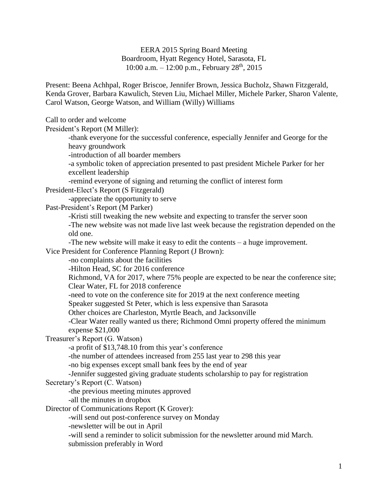EERA 2015 Spring Board Meeting Boardroom, Hyatt Regency Hotel, Sarasota, FL 10:00 a.m.  $-12:00$  p.m., February  $28<sup>th</sup>$ ,  $2015$ 

Present: Beena Achhpal, Roger Briscoe, Jennifer Brown, Jessica Bucholz, Shawn Fitzgerald, Kenda Grover, Barbara Kawulich, Steven Liu, Michael Miller, Michele Parker, Sharon Valente, Carol Watson, George Watson, and William (Willy) Williams

Call to order and welcome

President's Report (M Miller):

-thank everyone for the successful conference, especially Jennifer and George for the heavy groundwork

-introduction of all boarder members

-a symbolic token of appreciation presented to past president Michele Parker for her excellent leadership

-remind everyone of signing and returning the conflict of interest form

President-Elect's Report (S Fitzgerald)

-appreciate the opportunity to serve

Past-President's Report (M Parker)

-Kristi still tweaking the new website and expecting to transfer the server soon

-The new website was not made live last week because the registration depended on the old one.

-The new website will make it easy to edit the contents – a huge improvement.

Vice President for Conference Planning Report (J Brown):

-no complaints about the facilities

-Hilton Head, SC for 2016 conference

Richmond, VA for 2017, where 75% people are expected to be near the conference site; Clear Water, FL for 2018 conference

-need to vote on the conference site for 2019 at the next conference meeting

Speaker suggested St Peter, which is less expensive than Sarasota

Other choices are Charleston, Myrtle Beach, and Jacksonville

-Clear Water really wanted us there; Richmond Omni property offered the minimum expense \$21,000

Treasurer's Report (G. Watson)

-a profit of \$13,748.10 from this year's conference

-the number of attendees increased from 255 last year to 298 this year

-no big expenses except small bank fees by the end of year

-Jennifer suggested giving graduate students scholarship to pay for registration

## Secretary's Report (C. Watson)

-the previous meeting minutes approved

-all the minutes in dropbox

Director of Communications Report (K Grover):

-will send out post-conference survey on Monday

-newsletter will be out in April

-will send a reminder to solicit submission for the newsletter around mid March.

submission preferably in Word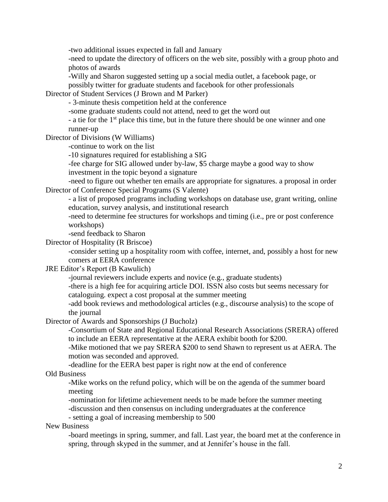-two additional issues expected in fall and January

-need to update the directory of officers on the web site, possibly with a group photo and photos of awards

-Willy and Sharon suggested setting up a social media outlet, a facebook page, or possibly twitter for graduate students and facebook for other professionals

Director of Student Services (J Brown and M Parker)

- 3-minute thesis competition held at the conference

-some graduate students could not attend, need to get the word out

- a tie for the 1<sup>st</sup> place this time, but in the future there should be one winner and one runner-up

Director of Divisions (W Williams)

-continue to work on the list

-10 signatures required for establishing a SIG

-fee charge for SIG allowed under by-law, \$5 charge maybe a good way to show investment in the topic beyond a signature

-need to figure out whether ten emails are appropriate for signatures. a proposal in order Director of Conference Special Programs (S Valente)

- a list of proposed programs including workshops on database use, grant writing, online education, survey analysis, and institutional research

-need to determine fee structures for workshops and timing (i.e., pre or post conference workshops)

-send feedback to Sharon

Director of Hospitality (R Briscoe)

-consider setting up a hospitality room with coffee, internet, and, possibly a host for new comers at EERA conference

JRE Editor's Report (B Kawulich)

-journal reviewers include experts and novice (e.g., graduate students)

-there is a high fee for acquiring article DOI. ISSN also costs but seems necessary for cataloguing. expect a cost proposal at the summer meeting

-add book reviews and methodological articles (e.g., discourse analysis) to the scope of the journal

Director of Awards and Sponsorships (J Bucholz)

-Consortium of State and Regional Educational Research Associations (SRERA) offered to include an EERA representative at the AERA exhibit booth for \$200.

-Mike motioned that we pay SRERA \$200 to send Shawn to represent us at AERA. The motion was seconded and approved.

-deadline for the EERA best paper is right now at the end of conference

## Old Business

-Mike works on the refund policy, which will be on the agenda of the summer board meeting

-nomination for lifetime achievement needs to be made before the summer meeting -discussion and then consensus on including undergraduates at the conference

- setting a goal of increasing membership to 500

New Business

-board meetings in spring, summer, and fall. Last year, the board met at the conference in spring, through skyped in the summer, and at Jennifer's house in the fall.